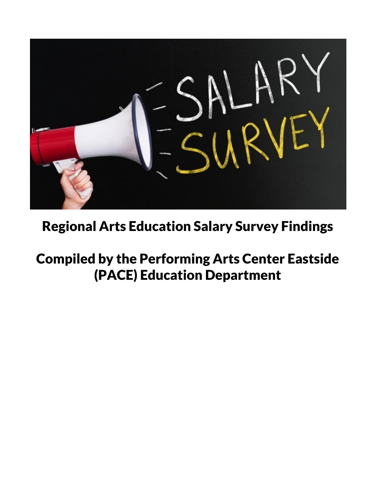

## Regional Arts Education Salary Survey Findings

## Compiled by the Performing Arts Center Eastside (PACE) Education Department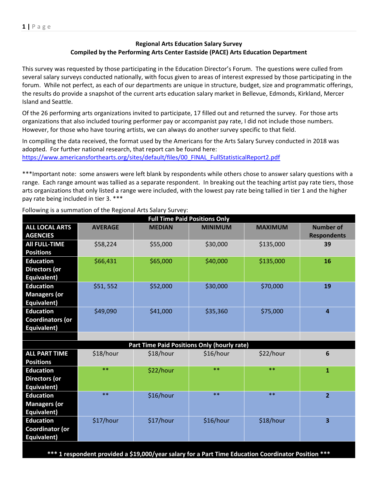## **Regional Arts Education Salary Survey Compiled by the Performing Arts Center Eastside (PACE) Arts Education Department**

This survey was requested by those participating in the Education Director's Forum. The questions were culled from several salary surveys conducted nationally, with focus given to areas of interest expressed by those participating in the forum. While not perfect, as each of our departments are unique in structure, budget, size and programmatic offerings, the results do provide a snapshot of the current arts education salary market in Bellevue, Edmonds, Kirkland, Mercer Island and Seattle.

Of the 26 performing arts organizations invited to participate, 17 filled out and returned the survey. For those arts organizations that also included touring performer pay or accompanist pay rate, I did not include those numbers. However, for those who have touring artists, we can always do another survey specific to that field.

In compiling the data received, the format used by the Americans for the Arts Salary Survey conducted in 2018 was adopted. For further national research, that report can be found here: [https://www.americansforthearts.org/sites/default/files/00\\_FINAL\\_FullStatisticalReport2.pdf](https://www.americansforthearts.org/sites/default/files/00_FINAL_FullStatisticalReport2.pdf)

\*\*\*Important note: some answers were left blank by respondents while others chose to answer salary questions with a range. Each range amount was tallied as a separate respondent. In breaking out the teaching artist pay rate tiers, those arts organizations that only listed a range were included, with the lowest pay rate being tallied in tier 1 and the higher pay rate being included in tier 3. \*\*\*

| <b>Full Time Paid Positions Only</b> |                |                                             |                |                |                    |
|--------------------------------------|----------------|---------------------------------------------|----------------|----------------|--------------------|
| <b>ALL LOCAL ARTS</b>                | <b>AVERAGE</b> | <b>MEDIAN</b>                               | <b>MINIMUM</b> | <b>MAXIMUM</b> | <b>Number of</b>   |
| <b>AGENCIES</b>                      |                |                                             |                |                | <b>Respondents</b> |
| <b>All FULL-TIME</b>                 | \$58,224       | \$55,000                                    | \$30,000       | \$135,000      | 39                 |
| <b>Positions</b>                     |                |                                             |                |                |                    |
| <b>Education</b>                     | \$66,431       | \$65,000                                    | \$40,000       | \$135,000      | 16                 |
| <b>Directors (or</b>                 |                |                                             |                |                |                    |
| Equivalent)                          |                |                                             |                |                |                    |
| <b>Education</b>                     | \$51,552       | \$52,000                                    | \$30,000       | \$70,000       | 19                 |
| <b>Managers (or</b>                  |                |                                             |                |                |                    |
| Equivalent)                          |                |                                             |                |                |                    |
| <b>Education</b>                     | \$49,090       | \$41,000                                    | \$35,360       | \$75,000       | $\overline{a}$     |
| <b>Coordinators (or</b>              |                |                                             |                |                |                    |
| Equivalent)                          |                |                                             |                |                |                    |
|                                      |                |                                             |                |                |                    |
|                                      |                | Part Time Paid Positions Only (hourly rate) |                |                |                    |
| <b>ALL PART TIME</b>                 | \$18/hour      | \$18/hour                                   | \$16/hour      | \$22/hour      | 6                  |
| <b>Positions</b>                     |                |                                             |                |                |                    |
| <b>Education</b>                     | $**$           | \$22/hour                                   | $**$           | $**$           | $\mathbf{1}$       |
| <b>Directors (or</b>                 |                |                                             |                |                |                    |
| Equivalent)                          |                |                                             |                |                |                    |
| <b>Education</b>                     | $**$           | \$16/hour                                   | $***$          | $***$          | $\overline{2}$     |
| <b>Managers (or</b>                  |                |                                             |                |                |                    |
| Equivalent)                          |                |                                             |                |                |                    |
| <b>Education</b>                     | \$17/hour      | \$17/hour                                   | \$16/hour      | \$18/hour      | 3                  |
| <b>Coordinator (or</b>               |                |                                             |                |                |                    |
| Equivalent)                          |                |                                             |                |                |                    |
|                                      |                |                                             |                |                |                    |

Following is a summation of the Regional Arts Salary Survey:

**\*\*\* 1 respondent provided a \$19,000/year salary for a Part Time Education Coordinator Position \*\*\***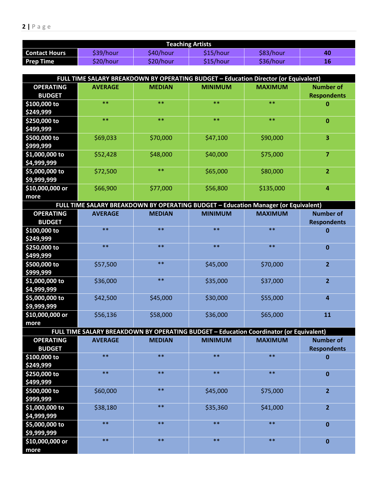| <b>Teaching Artists</b> |           |           |           |           |    |
|-------------------------|-----------|-----------|-----------|-----------|----|
| <b>Contact Hours</b>    | \$39/hour | \$40/hour | \$15/hour | \$83/hour | 40 |
| <b>Prep Time</b>        | \$20/hour | \$20/hour | \$15/hour | \$36/hour | 16 |

| FULL TIME SALARY BREAKDOWN BY OPERATING BUDGET - Education Director (or Equivalent) |                |               |                |                |                                        |
|-------------------------------------------------------------------------------------|----------------|---------------|----------------|----------------|----------------------------------------|
| <b>OPERATING</b><br><b>BUDGET</b>                                                   | <b>AVERAGE</b> | <b>MEDIAN</b> | <b>MINIMUM</b> | <b>MAXIMUM</b> | <b>Number of</b><br><b>Respondents</b> |
| \$100,000 to<br>\$249,999                                                           | $***$          | $**$          | $**$           | $**$           | $\bf{0}$                               |
| \$250,000 to<br>\$499,999                                                           | $***$          | $**$          | $**$           | $**$           | $\bf{0}$                               |
| \$500,000 to<br>\$999,999                                                           | \$69,033       | \$70,000      | \$47,100       | \$90,000       | 3                                      |
| $$1,000,000$ to<br>\$4,999,999                                                      | \$52,428       | \$48,000      | \$40,000       | \$75,000       | 7                                      |
| $$5,000,000$ to<br>59,999,999                                                       | \$72,500       | $**$          | \$65,000       | \$80,000       | $\overline{2}$                         |
| \$10,000,000 or<br>more                                                             | \$66,900       | \$77,000      | \$56,800       | \$135,000      | $\overline{a}$                         |

| FULL TIME SALARY BREAKDOWN BY OPERATING BUDGET - Education Manager (or Equivalent) |                |               |                |                |                    |
|------------------------------------------------------------------------------------|----------------|---------------|----------------|----------------|--------------------|
| <b>OPERATING</b>                                                                   | <b>AVERAGE</b> | <b>MEDIAN</b> | <b>MINIMUM</b> | <b>MAXIMUM</b> | <b>Number of</b>   |
| <b>BUDGET</b>                                                                      |                |               |                |                | <b>Respondents</b> |
| \$100,000 to                                                                       | $***$          | $***$         | $***$          | $***$          | 0                  |
| \$249,999                                                                          |                |               |                |                |                    |
| \$250,000 to                                                                       | $***$          | $**$          | $**$           | $***$          | $\bf{0}$           |
| \$499,999                                                                          |                |               |                |                |                    |
| \$500,000 to                                                                       | \$57,500       | $***$         | \$45,000       | \$70,000       | $\overline{2}$     |
| \$999,999                                                                          |                |               |                |                |                    |
| $$1,000,000$ to                                                                    | \$36,000       | $***$         | \$35,000       | \$37,000       | $\overline{2}$     |
| \$4,999,999                                                                        |                |               |                |                |                    |
| \$5,000,000 to                                                                     | \$42,500       | \$45,000      | \$30,000       | \$55,000       | 4                  |
| \$9,999,999                                                                        |                |               |                |                |                    |
| \$10,000,000 or                                                                    | \$56,136       | \$58,000      | \$36,000       | \$65,000       | 11                 |
| more                                                                               |                |               |                |                |                    |

| FULL TIME SALARY BREAKDOWN BY OPERATING BUDGET - Education Coordinator (or Equivalent) |                |               |                |                |                    |
|----------------------------------------------------------------------------------------|----------------|---------------|----------------|----------------|--------------------|
| <b>OPERATING</b>                                                                       | <b>AVERAGE</b> | <b>MEDIAN</b> | <b>MINIMUM</b> | <b>MAXIMUM</b> | <b>Number of</b>   |
| <b>BUDGET</b>                                                                          |                |               |                |                | <b>Respondents</b> |
| \$100,000 to                                                                           | $**$           | $***$         | $***$          | $***$          | 0                  |
| \$249,999                                                                              |                |               |                |                |                    |
| \$250,000 to                                                                           | $***$          | $***$         | $***$          | $***$          | 0                  |
| \$499,999                                                                              |                |               |                |                |                    |
| \$500,000 to                                                                           | \$60,000       | $**$          | \$45,000       | \$75,000       | $\overline{2}$     |
| \$999,999                                                                              |                |               |                |                |                    |
| \$1,000,000 to                                                                         | \$38,180       | $**$          | \$35,360       | \$41,000       | $\overline{2}$     |
| \$4,999,999                                                                            |                |               |                |                |                    |
| $$5,000,000$ to                                                                        | $**$           | $**$          | $**$           | $***$          | 0                  |
| \$9,999,999                                                                            |                |               |                |                |                    |
| \$10,000,000 or                                                                        | $**$           | $**$          | $**$           | $***$          | 0                  |
| more                                                                                   |                |               |                |                |                    |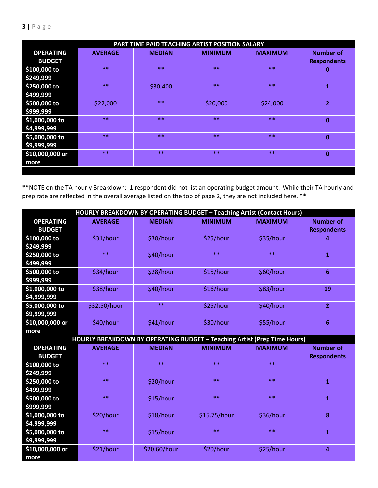| PART TIME PAID TEACHING ARTIST POSITION SALARY |                |               |                |                |                    |
|------------------------------------------------|----------------|---------------|----------------|----------------|--------------------|
| <b>OPERATING</b>                               | <b>AVERAGE</b> | <b>MEDIAN</b> | <b>MINIMUM</b> | <b>MAXIMUM</b> | <b>Number of</b>   |
| <b>BUDGET</b>                                  |                |               |                |                | <b>Respondents</b> |
| \$100,000 to                                   | $**$           | $**$          | $**$           | $***$          | 0                  |
| \$249,999                                      |                |               |                |                |                    |
| \$250,000 to                                   | **             | \$30,400      | $**$           | $***$          | $\mathbf{1}$       |
| \$499,999                                      |                |               |                |                |                    |
| \$500,000 to                                   | \$22,000       | $**$          | \$20,000       | \$24,000       | $\overline{2}$     |
| \$999,999                                      |                |               |                |                |                    |
| $$1,000,000$ to                                | $**$           | $**$          | $**$           | $**$           | $\bf{0}$           |
| \$4,999,999                                    |                |               |                |                |                    |
| \$5,000,000 to                                 | $**$           | $**$          | $**$           | $**$           | $\mathbf{0}$       |
| \$9,999,999                                    |                |               |                |                |                    |
| \$10,000,000 or                                | $**$           | $**$          | $**$           | $**$           | $\bf{0}$           |
| more                                           |                |               |                |                |                    |
|                                                |                |               |                |                |                    |

\*\*NOTE on the TA hourly Breakdown: 1 respondent did not list an operating budget amount. While their TA hourly and prep rate are reflected in the overall average listed on the top of page 2, they are not included here. \*\*

| <b>HOURLY BREAKDOWN BY OPERATING BUDGET - Teaching Artist (Contact Hours)</b> |                |               |                |                |                                        |
|-------------------------------------------------------------------------------|----------------|---------------|----------------|----------------|----------------------------------------|
| <b>OPERATING</b><br><b>BUDGET</b>                                             | <b>AVERAGE</b> | <b>MEDIAN</b> | <b>MINIMUM</b> | <b>MAXIMUM</b> | <b>Number of</b><br><b>Respondents</b> |
| \$100,000 to<br>\$249,999                                                     | \$31/hour      | \$30/hour     | \$25/hour      | \$35/hour      | 4                                      |
| \$250,000 to<br>\$499,999                                                     | $**$           | \$40/hour     | $**$           | $**$           | $\mathbf{1}$                           |
| \$500,000 to<br>\$999,999                                                     | \$34/hour      | \$28/hour     | \$15/hour      | \$60/hour      | $6\phantom{1}6$                        |
| \$1,000,000 to<br>\$4,999,999                                                 | \$38/hour      | \$40/hour     | \$16/hour      | \$83/hour      | 19                                     |
| \$5,000,000 to<br>\$9,999,999                                                 | \$32.50/hour   | $**$          | \$25/hour      | \$40/hour      | $\overline{2}$                         |
| \$10,000,000 or<br>more                                                       | \$40/hour      | \$41/hour     | \$30/hour      | \$55/hour      | $6\phantom{1}6$                        |
| HOURLY BREAKDOWN BY OPERATING BUDGET - Teaching Artist (Prep Time Hours)      |                |               |                |                |                                        |
|                                                                               |                |               |                |                |                                        |
| <b>OPERATING</b><br><b>BUDGET</b>                                             | <b>AVERAGE</b> | <b>MEDIAN</b> | <b>MINIMUM</b> | <b>MAXIMUM</b> | <b>Number of</b><br><b>Respondents</b> |
| \$100,000 to<br>\$249,999                                                     | $**$           | $**$          | $**$           | $**$           |                                        |
| \$250,000 to<br>\$499,999                                                     | $**$           | \$20/hour     | $**$           | $**$           | $\overline{\mathbf{1}}$                |
| \$500,000 to<br>\$999,999                                                     | $**$           | \$15/hour     | $**$           | $**$           | $\overline{\mathbf{1}}$                |
| \$1,000,000 to<br>\$4,999,999                                                 | \$20/hour      | \$18/hour     | \$15.75/hour   | \$36/hour      | 8                                      |
| \$5,000,000 to<br>\$9,999,999                                                 | $**$           | \$15/hour     | $**$           | $**$           | $\mathbf{1}$                           |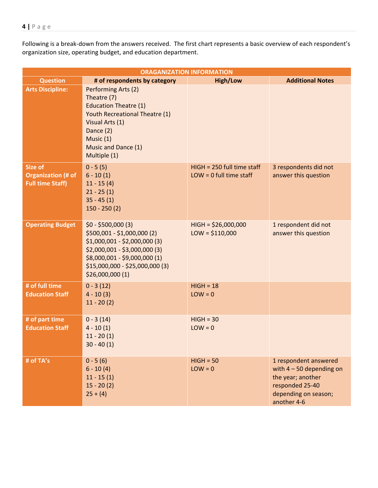Following is a break-down from the answers received. The first chart represents a basic overview of each respondent's organization size, operating budget, and education department.

| <b>ORAGANIZATION INFORMATION</b>                                       |                                                                                                                                                                                                            |                                                           |                                                                                                                                    |  |  |
|------------------------------------------------------------------------|------------------------------------------------------------------------------------------------------------------------------------------------------------------------------------------------------------|-----------------------------------------------------------|------------------------------------------------------------------------------------------------------------------------------------|--|--|
| <b>Question</b>                                                        | # of respondents by category                                                                                                                                                                               | <b>High/Low</b>                                           | <b>Additional Notes</b>                                                                                                            |  |  |
| <b>Arts Discipline:</b>                                                | Performing Arts (2)<br>Theatre (7)<br><b>Education Theatre (1)</b><br>Youth Recreational Theatre (1)<br>Visual Arts (1)<br>Dance (2)<br>Music (1)<br>Music and Dance (1)<br>Multiple (1)                   |                                                           |                                                                                                                                    |  |  |
| <b>Size of</b><br><b>Organization (# of</b><br><b>Full time Staff)</b> | $0 - 5(5)$<br>$6 - 10(1)$<br>$11 - 15(4)$<br>$21 - 25(1)$<br>$35 - 45(1)$<br>$150 - 250(2)$                                                                                                                | $HIGH = 250$ full time staff<br>$LOW = 0$ full time staff | 3 respondents did not<br>answer this question                                                                                      |  |  |
| <b>Operating Budget</b>                                                | $$0 - $500,000(3)$<br>\$500,001 - \$1,000,000 (2)<br>$$1,000,001 - $2,000,000$ (3)<br>$$2,000,001 - $3,000,000(3)$<br>\$8,000,001 - \$9,000,000 (1)<br>\$15,000,000 - \$25,000,000 (3)<br>\$26,000,000 (1) | $HIGH = $26,000,000$<br>$LOW = $110,000$                  | 1 respondent did not<br>answer this question                                                                                       |  |  |
| # of full time<br><b>Education Staff</b>                               | $0 - 3(12)$<br>$4 - 10(3)$<br>$11 - 20(2)$                                                                                                                                                                 | $HIGH = 18$<br>$LOW = 0$                                  |                                                                                                                                    |  |  |
| # of part time<br><b>Education Staff</b>                               | $0 - 3(14)$<br>$4 - 10(1)$<br>$11 - 20(1)$<br>$30 - 40(1)$                                                                                                                                                 | $HIGH = 30$<br>$LOW = 0$                                  |                                                                                                                                    |  |  |
| # of TA's                                                              | $0 - 5(6)$<br>$6 - 10(4)$<br>$11 - 15(1)$<br>$15 - 20(2)$<br>$25 + (4)$                                                                                                                                    | $HIGH = 50$<br>$LOW = 0$                                  | 1 respondent answered<br>with $4 - 50$ depending on<br>the year; another<br>responded 25-40<br>depending on season;<br>another 4-6 |  |  |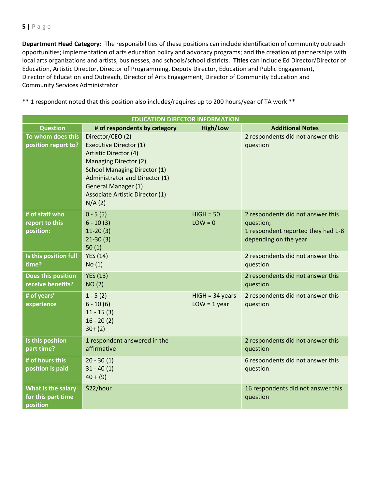**Department Head Category:** The responsibilities of these positions can include identification of community outreach opportunities; implementation of arts education policy and advocacy programs; and the creation of partnerships with local arts organizations and artists, businesses, and schools/school districts. **Titles** can include Ed Director/Director of Education, Artistic Director, Director of Programming, Deputy Director, Education and Public Engagement, Director of Education and Outreach, Director of Arts Engagement, Director of Community Education and Community Services Administrator

\*\* 1 respondent noted that this position also includes/requires up to 200 hours/year of TA work \*\*

| <b>EDUCATION DIRECTOR INFORMATION</b>                |                                                                                                                                                                                                                                                                       |                                     |                                                                                                               |  |  |
|------------------------------------------------------|-----------------------------------------------------------------------------------------------------------------------------------------------------------------------------------------------------------------------------------------------------------------------|-------------------------------------|---------------------------------------------------------------------------------------------------------------|--|--|
| <b>Question</b>                                      | # of respondents by category                                                                                                                                                                                                                                          | <b>High/Low</b>                     | <b>Additional Notes</b>                                                                                       |  |  |
| To whom does this<br>position report to?             | Director/CEO (2)<br><b>Executive Director (1)</b><br>Artistic Director (4)<br><b>Managing Director (2)</b><br><b>School Managing Director (1)</b><br>Administrator and Director (1)<br><b>General Manager (1)</b><br><b>Associate Artistic Director (1)</b><br>N/A(2) |                                     | 2 respondents did not answer this<br>question                                                                 |  |  |
| # of staff who<br>report to this<br>position:        | $0 - 5(5)$<br>$6 - 10(3)$<br>$11-20(3)$<br>$21-30(3)$<br>50(1)                                                                                                                                                                                                        | $HIGH = 50$<br>$LOW = 0$            | 2 respondents did not answer this<br>question;<br>1 respondent reported they had 1-8<br>depending on the year |  |  |
| Is this position full<br>time?                       | <b>YES (14)</b><br>No(1)                                                                                                                                                                                                                                              |                                     | 2 respondents did not answer this<br>question                                                                 |  |  |
| Does this position<br>receive benefits?              | <b>YES (13)</b><br>NO(2)                                                                                                                                                                                                                                              |                                     | 2 respondents did not answer this<br>question                                                                 |  |  |
| # of years'<br>experience                            | $1 - 5(2)$<br>$6 - 10(6)$<br>$11 - 15(3)$<br>$16 - 20(2)$<br>$30+ (2)$                                                                                                                                                                                                | $HIGH = 34 years$<br>$LOW = 1 year$ | 2 respondents did not answer this<br>question                                                                 |  |  |
| Is this position<br>part time?                       | 1 respondent answered in the<br>affirmative                                                                                                                                                                                                                           |                                     | 2 respondents did not answer this<br>question                                                                 |  |  |
| # of hours this<br>position is paid                  | $20 - 30(1)$<br>$31 - 40(1)$<br>$40 + (9)$                                                                                                                                                                                                                            |                                     | 6 respondents did not answer this<br>question                                                                 |  |  |
| What is the salary<br>for this part time<br>position | \$22/hour                                                                                                                                                                                                                                                             |                                     | 16 respondents did not answer this<br>question                                                                |  |  |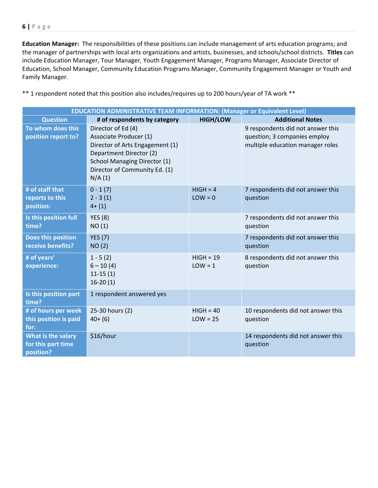**Education Manager:** The responsibilities of these positions can include management of arts education programs; and the manager of partnerships with local arts organizations and artists, businesses, and schools/school districts. **Titles** can include Education Manager, Tour Manager, Youth Engagement Manager, Programs Manager, Associate Director of Education, School Manager, Community Education Programs Manager, Community Engagement Manager or Youth and Family Manager.

|                                                       | <b>EDUCATION ADMINISTRATIVE TEAM INFORMATION: (Manager or Equivalent Level)</b>                                                                                                              |                           |                                                                                                       |  |  |
|-------------------------------------------------------|----------------------------------------------------------------------------------------------------------------------------------------------------------------------------------------------|---------------------------|-------------------------------------------------------------------------------------------------------|--|--|
| <b>Question</b>                                       | # of respondents by category                                                                                                                                                                 | <b>HIGH/LOW</b>           | <b>Additional Notes</b>                                                                               |  |  |
| To whom does this<br>position report to?              | Director of Ed (4)<br>Associate Producer (1)<br>Director of Arts Engagement (1)<br>Department Director (2)<br><b>School Managing Director (1)</b><br>Director of Community Ed. (1)<br>N/A(1) |                           | 9 respondents did not answer this<br>question; 3 companies employ<br>multiple education manager roles |  |  |
| # of staff that<br>reports to this<br>position:       | $0 - 1(7)$<br>$2 - 3(1)$<br>$4+ (1)$                                                                                                                                                         | $HIGH = 4$<br>$LOW = 0$   | 7 respondents did not answer this<br>question                                                         |  |  |
| Is this position full<br>time?                        | <b>YES</b> (8)<br>NO(1)                                                                                                                                                                      |                           | 7 respondents did not answer this<br>question                                                         |  |  |
| Does this position<br>receive benefits?               | <b>YES</b> (7)<br>NO(2)                                                                                                                                                                      |                           | 7 respondents did not answer this<br>question                                                         |  |  |
| # of years'<br>experience:                            | $1 - 5(2)$<br>$6 - 10(4)$<br>$11-15(1)$<br>$16-20(1)$                                                                                                                                        | $HIGH = 19$<br>$LOW = 1$  | 8 respondents did not answer this<br>question                                                         |  |  |
| Is this position part<br>time?                        | 1 respondent answered yes                                                                                                                                                                    |                           |                                                                                                       |  |  |
| # of hours per week<br>this position is paid<br>for:  | 25-30 hours (2)<br>$40+ (6)$                                                                                                                                                                 | $HIGH = 40$<br>$LOW = 25$ | 10 respondents did not answer this<br>question                                                        |  |  |
| What is the salary<br>for this part time<br>position? | \$16/hour                                                                                                                                                                                    |                           | 14 respondents did not answer this<br>question                                                        |  |  |

\*\* 1 respondent noted that this position also includes/requires up to 200 hours/year of TA work \*\*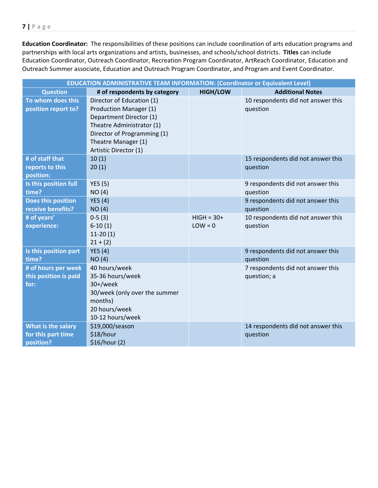**Education Coordinator:** The responsibilities of these positions can include coordination of arts education programs and partnerships with local arts organizations and artists, businesses, and schools/school districts. **Titles** can include Education Coordinator, Outreach Coordinator, Recreation Program Coordinator, ArtReach Coordinator, Education and Outreach Summer associate, Education and Outreach Program Coordinator, and Program and Event Coordinator.

| <b>EDUCATION ADMINISTRATIVE TEAM INFORMATION: (Coordinator or Equivalent Level)</b> |                                                     |                 |                                                |  |  |
|-------------------------------------------------------------------------------------|-----------------------------------------------------|-----------------|------------------------------------------------|--|--|
| <b>Question</b>                                                                     | # of respondents by category                        | <b>HIGH/LOW</b> | <b>Additional Notes</b>                        |  |  |
| To whom does this<br>position report to?                                            | Director of Education (1)<br>Production Manager (1) |                 | 10 respondents did not answer this<br>question |  |  |
|                                                                                     | Department Director (1)                             |                 |                                                |  |  |
|                                                                                     | Theatre Administrator (1)                           |                 |                                                |  |  |
|                                                                                     | Director of Programming (1)                         |                 |                                                |  |  |
|                                                                                     | Theatre Manager (1)                                 |                 |                                                |  |  |
|                                                                                     | Artistic Director (1)                               |                 |                                                |  |  |
| # of staff that                                                                     | 10(1)                                               |                 | 15 respondents did not answer this             |  |  |
| reports to this                                                                     | 20(1)                                               |                 | question                                       |  |  |
| position:                                                                           |                                                     |                 |                                                |  |  |
| Is this position full                                                               | <b>YES (5)</b>                                      |                 | 9 respondents did not answer this              |  |  |
| time?                                                                               | NO(4)                                               |                 | question                                       |  |  |
| Does this position<br>receive benefits?                                             | <b>YES</b> (4)                                      |                 | 9 respondents did not answer this<br>question  |  |  |
| # of years'                                                                         | NO(4)<br>$0-5(3)$                                   | $HIGH = 30+$    | 10 respondents did not answer this             |  |  |
| experience:                                                                         | $6-10(1)$                                           | $LOW = 0$       | question                                       |  |  |
|                                                                                     | $11-20(1)$                                          |                 |                                                |  |  |
|                                                                                     | $21 + (2)$                                          |                 |                                                |  |  |
| Is this position part                                                               | YES $(4)$                                           |                 | 9 respondents did not answer this              |  |  |
| time?                                                                               | NO(4)                                               |                 | question                                       |  |  |
| # of hours per week                                                                 | 40 hours/week                                       |                 | 7 respondents did not answer this              |  |  |
| this position is paid                                                               | 35-36 hours/week                                    |                 | question; a                                    |  |  |
| for:                                                                                | 30+/week                                            |                 |                                                |  |  |
|                                                                                     | 30/week (only over the summer                       |                 |                                                |  |  |
|                                                                                     | months)                                             |                 |                                                |  |  |
|                                                                                     | 20 hours/week<br>10-12 hours/week                   |                 |                                                |  |  |
| What is the salary                                                                  | \$19,000/season                                     |                 | 14 respondents did not answer this             |  |  |
| for this part time                                                                  | \$18/hour                                           |                 | question                                       |  |  |
| position?                                                                           | \$16/hour (2)                                       |                 |                                                |  |  |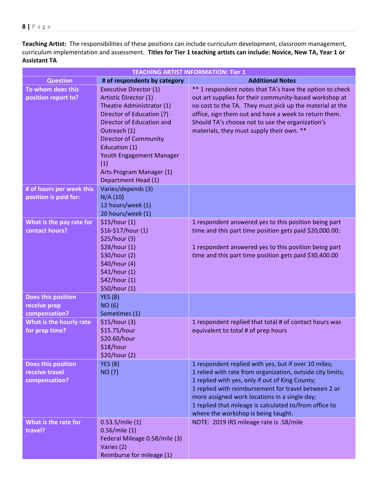**Teaching Artist:** The responsibilities of these positions can include curriculum development, classroom management, curriculum implementation and assessment. **Titles for Tier 1 teaching artists can include: Novice, New TA, Year 1 or Assistant TA**

| <b>TEACHING ARTIST INFORMATION: Tier 1</b>            |                                                                                                                                                                                                                                                                                                      |                                                                                                                                                                                                                                                                                                                                                                                 |  |
|-------------------------------------------------------|------------------------------------------------------------------------------------------------------------------------------------------------------------------------------------------------------------------------------------------------------------------------------------------------------|---------------------------------------------------------------------------------------------------------------------------------------------------------------------------------------------------------------------------------------------------------------------------------------------------------------------------------------------------------------------------------|--|
| <b>Question</b>                                       | # of respondents by category                                                                                                                                                                                                                                                                         | <b>Additional Notes</b>                                                                                                                                                                                                                                                                                                                                                         |  |
| To whom does this<br>position report to?              | <b>Executive Director (1)</b><br>Artistic Director (1)<br>Theatre Administrator (1)<br>Director of Education (7)<br>Director of Education and<br>Outreach (1)<br><b>Director of Community</b><br>Education (1)<br>Youth Engagement Manager<br>(1)<br>Arts Program Manager (1)<br>Department Head (1) | ** 1 respondent notes that TA's have the option to check<br>out art supplies for their community-based workshop at<br>no cost to the TA. They must pick up the material at the<br>office, sign them out and have a week to return them.<br>Should TA's choose not to use the organization's<br>materials, they must supply their own. **                                        |  |
| # of hours per week this<br>position is paid for:     | Varies/depends (3)<br>N/A(10)<br>12 hours/week (1)<br>20 hours/week (1)                                                                                                                                                                                                                              |                                                                                                                                                                                                                                                                                                                                                                                 |  |
| What is the pay rate for<br>contact hours?            | \$15/hour(1)<br>\$16-\$17/hour (1)<br>\$25/hour (3)<br>\$28/hour (1)<br>\$30/hour (2)<br>\$40/hour (4)<br>\$41/hour (1)<br>\$42/hour (1)<br>\$50/hour (1)                                                                                                                                            | 1 respondent answered yes to this position being part<br>time and this part time position gets paid \$20,000.00;<br>1 respondent answered yes to this position being part<br>time and this part time position gets paid \$30,400.00                                                                                                                                             |  |
| Does this position<br>receive prep<br>compensation?   | <b>YES (8)</b><br><b>NO (6)</b><br>Sometimes (1)                                                                                                                                                                                                                                                     |                                                                                                                                                                                                                                                                                                                                                                                 |  |
| What is the hourly rate<br>for prep time?             | \$15/hour(3)<br>\$15.75/hour<br>\$20.60/hour<br>\$18/hour<br>\$20/hour (2)                                                                                                                                                                                                                           | 1 respondent replied that total # of contact hours was<br>equivalent to total # of prep hours                                                                                                                                                                                                                                                                                   |  |
| Does this position<br>receive travel<br>compensation? | <b>YES (8)</b><br><b>NO (7)</b>                                                                                                                                                                                                                                                                      | 1 respondent replied with yes, but if over 10 miles;<br>1 relied with rate from organization, outside city limits;<br>1 replied with yes, only if out of King County;<br>1 replied with reimbursement for travel between 2 or<br>more assigned work locations in a single day;<br>1 replied that mileage is calculated to/from office to<br>where the workshop is being taught. |  |
| What is the rate for<br>travel?                       | 0.53.5/mile(1)<br>$0.56$ /mile $(1)$<br>Federal Mileage 0.58/mile (3)<br>Varies (2)<br>Reimburse for mileage (1)                                                                                                                                                                                     | NOTE: 2019 IRS mileage rate is .58/mile                                                                                                                                                                                                                                                                                                                                         |  |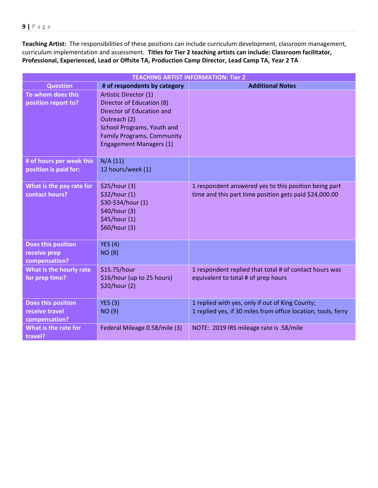**Teaching Artist:** The responsibilities of these positions can include curriculum development, classroom management, curriculum implementation and assessment. **Titles for Tier 2 teaching artists can include: Classroom facilitator, Professional, Experienced, Lead or Offsite TA, Production Camp Director, Lead Camp TA, Year 2 TA**

| <b>TEACHING ARTIST INFORMATION: Tier 2</b>            |                                                                                                                                                                                                      |                                                                                                                  |  |
|-------------------------------------------------------|------------------------------------------------------------------------------------------------------------------------------------------------------------------------------------------------------|------------------------------------------------------------------------------------------------------------------|--|
| <b>Question</b>                                       | # of respondents by category                                                                                                                                                                         | <b>Additional Notes</b>                                                                                          |  |
| To whom does this<br>position report to?              | Artistic Director (1)<br>Director of Education (8)<br>Director of Education and<br>Outreach (2)<br>School Programs, Youth and<br><b>Family Programs, Community</b><br><b>Engagement Managers (1)</b> |                                                                                                                  |  |
| # of hours per week this<br>position is paid for:     | N/A(11)<br>12 hours/week (1)                                                                                                                                                                         |                                                                                                                  |  |
| What is the pay rate for<br>contact hours?            | \$25/hour (3)<br>\$32/hour (1)<br>\$30-\$34/hour (1)<br>\$40/hour (3)<br>\$45/hour (1)<br>\$60/hour (3)                                                                                              | 1 respondent answered yes to this position being part<br>time and this part time position gets paid \$24,000.00  |  |
| Does this position<br>receive prep<br>compensation?   | <b>YES (4)</b><br><b>NO (8)</b>                                                                                                                                                                      |                                                                                                                  |  |
| What is the hourly rate<br>for prep time?             | \$15.75/hour<br>\$16/hour (up to 25 hours)<br>\$20/hour (2)                                                                                                                                          | 1 respondent replied that total # of contact hours was<br>equivalent to total # of prep hours                    |  |
| Does this position<br>receive travel<br>compensation? | <b>YES (3)</b><br><b>NO (9)</b>                                                                                                                                                                      | 1 replied with yes, only if out of King County;<br>1 replied yes, if 30 miles from office location, tools, ferry |  |
| What is the rate for<br>travel?                       | Federal Mileage 0.58/mile (3)                                                                                                                                                                        | NOTE: 2019 IRS mileage rate is .58/mile                                                                          |  |